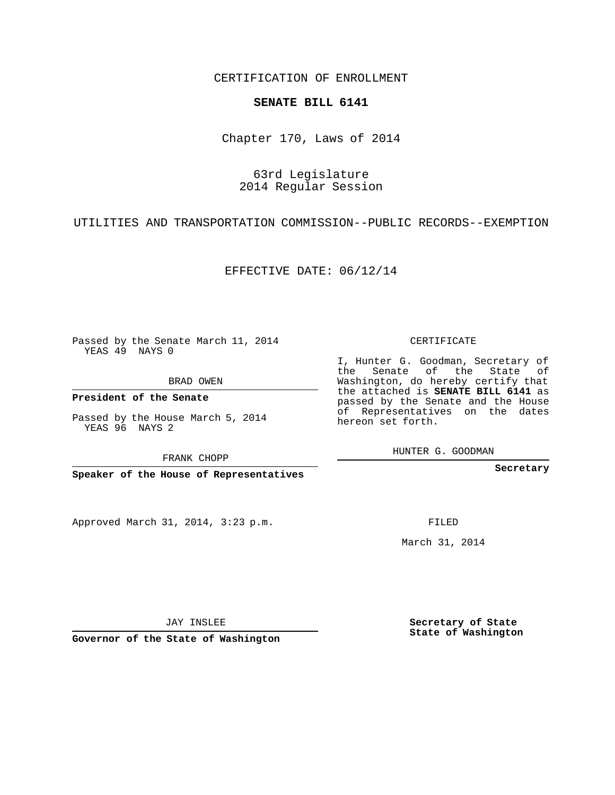CERTIFICATION OF ENROLLMENT

## **SENATE BILL 6141**

Chapter 170, Laws of 2014

## 63rd Legislature 2014 Regular Session

UTILITIES AND TRANSPORTATION COMMISSION--PUBLIC RECORDS--EXEMPTION

EFFECTIVE DATE: 06/12/14

Passed by the Senate March 11, 2014 YEAS 49 NAYS 0

BRAD OWEN

**President of the Senate**

Passed by the House March 5, 2014 YEAS 96 NAYS 2

FRANK CHOPP

**Speaker of the House of Representatives**

Approved March 31, 2014, 3:23 p.m.

CERTIFICATE

I, Hunter G. Goodman, Secretary of the Senate of the State of Washington, do hereby certify that the attached is **SENATE BILL 6141** as passed by the Senate and the House of Representatives on the dates hereon set forth.

HUNTER G. GOODMAN

**Secretary**

FILED

March 31, 2014

**Secretary of State State of Washington**

**Governor of the State of Washington**

JAY INSLEE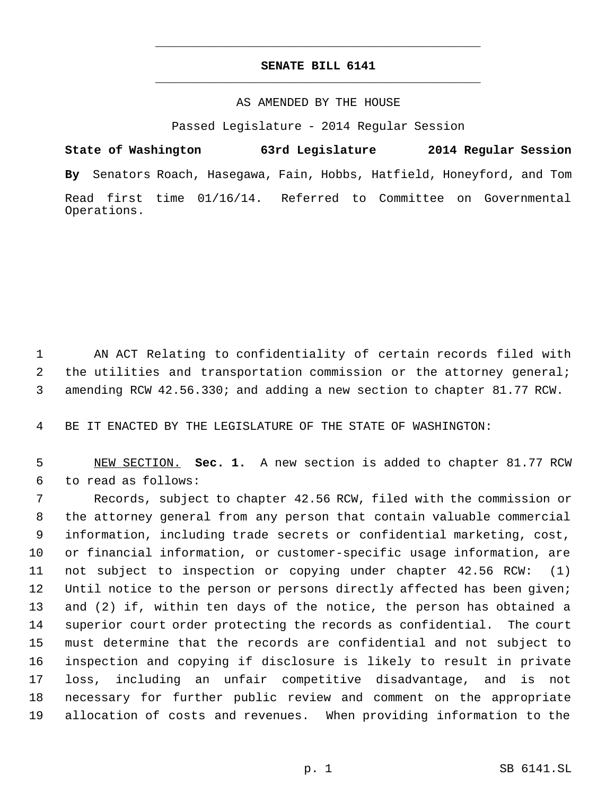## **SENATE BILL 6141** \_\_\_\_\_\_\_\_\_\_\_\_\_\_\_\_\_\_\_\_\_\_\_\_\_\_\_\_\_\_\_\_\_\_\_\_\_\_\_\_\_\_\_\_\_

\_\_\_\_\_\_\_\_\_\_\_\_\_\_\_\_\_\_\_\_\_\_\_\_\_\_\_\_\_\_\_\_\_\_\_\_\_\_\_\_\_\_\_\_\_

## AS AMENDED BY THE HOUSE

Passed Legislature - 2014 Regular Session

**State of Washington 63rd Legislature 2014 Regular Session By** Senators Roach, Hasegawa, Fain, Hobbs, Hatfield, Honeyford, and Tom Read first time 01/16/14. Referred to Committee on Governmental Operations.

 1 AN ACT Relating to confidentiality of certain records filed with 2 the utilities and transportation commission or the attorney general; 3 amending RCW 42.56.330; and adding a new section to chapter 81.77 RCW.

4 BE IT ENACTED BY THE LEGISLATURE OF THE STATE OF WASHINGTON:

 5 NEW SECTION. **Sec. 1.** A new section is added to chapter 81.77 RCW 6 to read as follows:

 Records, subject to chapter 42.56 RCW, filed with the commission or the attorney general from any person that contain valuable commercial information, including trade secrets or confidential marketing, cost, or financial information, or customer-specific usage information, are not subject to inspection or copying under chapter 42.56 RCW: (1) 12 Until notice to the person or persons directly affected has been given; and (2) if, within ten days of the notice, the person has obtained a superior court order protecting the records as confidential. The court must determine that the records are confidential and not subject to inspection and copying if disclosure is likely to result in private loss, including an unfair competitive disadvantage, and is not necessary for further public review and comment on the appropriate allocation of costs and revenues. When providing information to the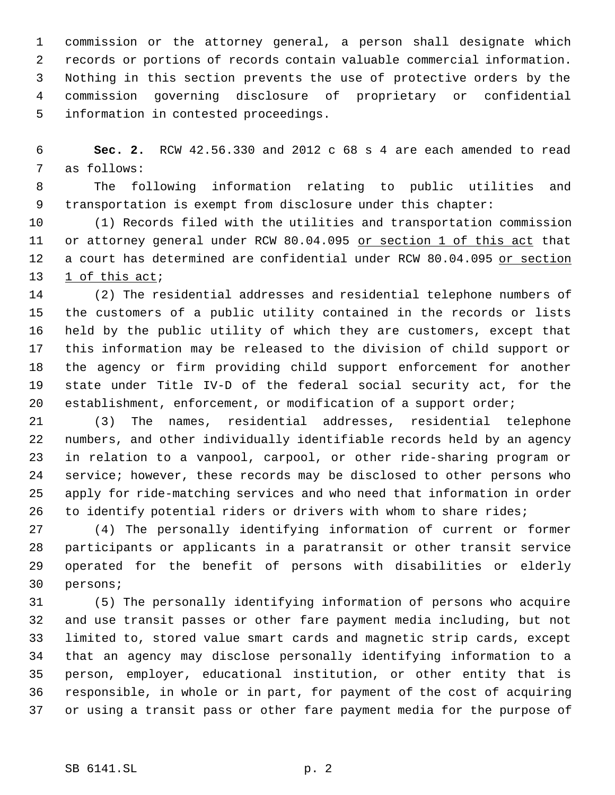commission or the attorney general, a person shall designate which records or portions of records contain valuable commercial information. Nothing in this section prevents the use of protective orders by the commission governing disclosure of proprietary or confidential information in contested proceedings.

 **Sec. 2.** RCW 42.56.330 and 2012 c 68 s 4 are each amended to read as follows:

 The following information relating to public utilities and transportation is exempt from disclosure under this chapter:

 (1) Records filed with the utilities and transportation commission 11 or attorney general under RCW 80.04.095 or section 1 of this act that 12 a court has determined are confidential under RCW 80.04.095 or section 13 1 of this act;

 (2) The residential addresses and residential telephone numbers of the customers of a public utility contained in the records or lists held by the public utility of which they are customers, except that this information may be released to the division of child support or the agency or firm providing child support enforcement for another state under Title IV-D of the federal social security act, for the establishment, enforcement, or modification of a support order;

 (3) The names, residential addresses, residential telephone numbers, and other individually identifiable records held by an agency in relation to a vanpool, carpool, or other ride-sharing program or service; however, these records may be disclosed to other persons who apply for ride-matching services and who need that information in order 26 to identify potential riders or drivers with whom to share rides;

 (4) The personally identifying information of current or former participants or applicants in a paratransit or other transit service operated for the benefit of persons with disabilities or elderly persons;

 (5) The personally identifying information of persons who acquire and use transit passes or other fare payment media including, but not limited to, stored value smart cards and magnetic strip cards, except that an agency may disclose personally identifying information to a person, employer, educational institution, or other entity that is responsible, in whole or in part, for payment of the cost of acquiring or using a transit pass or other fare payment media for the purpose of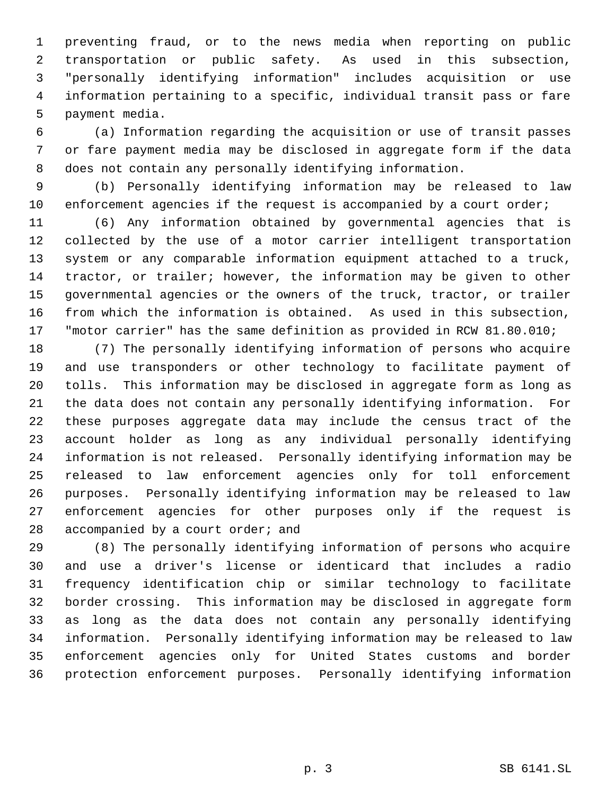preventing fraud, or to the news media when reporting on public transportation or public safety. As used in this subsection, "personally identifying information" includes acquisition or use information pertaining to a specific, individual transit pass or fare payment media.

 (a) Information regarding the acquisition or use of transit passes or fare payment media may be disclosed in aggregate form if the data does not contain any personally identifying information.

 (b) Personally identifying information may be released to law 10 enforcement agencies if the request is accompanied by a court order;

 (6) Any information obtained by governmental agencies that is collected by the use of a motor carrier intelligent transportation system or any comparable information equipment attached to a truck, tractor, or trailer; however, the information may be given to other governmental agencies or the owners of the truck, tractor, or trailer from which the information is obtained. As used in this subsection, "motor carrier" has the same definition as provided in RCW 81.80.010;

 (7) The personally identifying information of persons who acquire and use transponders or other technology to facilitate payment of tolls. This information may be disclosed in aggregate form as long as the data does not contain any personally identifying information. For these purposes aggregate data may include the census tract of the account holder as long as any individual personally identifying information is not released. Personally identifying information may be released to law enforcement agencies only for toll enforcement purposes. Personally identifying information may be released to law enforcement agencies for other purposes only if the request is 28 accompanied by a court order; and

 (8) The personally identifying information of persons who acquire and use a driver's license or identicard that includes a radio frequency identification chip or similar technology to facilitate border crossing. This information may be disclosed in aggregate form as long as the data does not contain any personally identifying information. Personally identifying information may be released to law enforcement agencies only for United States customs and border protection enforcement purposes. Personally identifying information